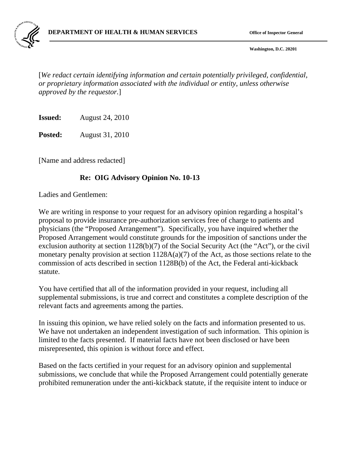

**Washington, D.C. 20201** 

[*We redact certain identifying information and certain potentially privileged, confidential, or proprietary information associated with the individual or entity, unless otherwise approved by the requestor.*]

**Issued:** August 24, 2010

**Posted:** August 31, 2010

[Name and address redacted]

#### **Re: OIG Advisory Opinion No. 10-13**

Ladies and Gentlemen:

We are writing in response to your request for an advisory opinion regarding a hospital's proposal to provide insurance pre-authorization services free of charge to patients and physicians (the "Proposed Arrangement"). Specifically, you have inquired whether the Proposed Arrangement would constitute grounds for the imposition of sanctions under the exclusion authority at section 1128(b)(7) of the Social Security Act (the "Act"), or the civil monetary penalty provision at section 1128A(a)(7) of the Act, as those sections relate to the commission of acts described in section 1128B(b) of the Act, the Federal anti-kickback statute.

You have certified that all of the information provided in your request, including all supplemental submissions, is true and correct and constitutes a complete description of the relevant facts and agreements among the parties.

In issuing this opinion, we have relied solely on the facts and information presented to us. We have not undertaken an independent investigation of such information. This opinion is limited to the facts presented. If material facts have not been disclosed or have been misrepresented, this opinion is without force and effect.

Based on the facts certified in your request for an advisory opinion and supplemental submissions, we conclude that while the Proposed Arrangement could potentially generate prohibited remuneration under the anti-kickback statute, if the requisite intent to induce or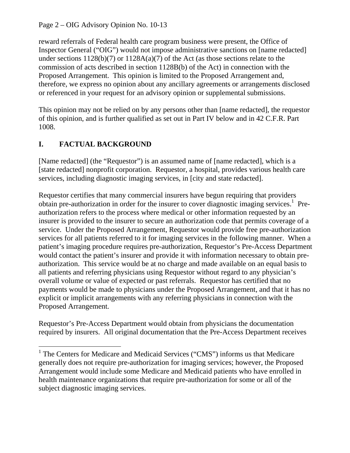Page 2 – OIG Advisory Opinion No. 10-13

or referenced in your request for an advisory opinion or supplemental submissions. reward referrals of Federal health care program business were present, the Office of Inspector General ("OIG") would not impose administrative sanctions on [name redacted] under sections 1128(b)(7) or 1128A(a)(7) of the Act (as those sections relate to the commission of acts described in section 1128B(b) of the Act) in connection with the Proposed Arrangement. This opinion is limited to the Proposed Arrangement and, therefore, we express no opinion about any ancillary agreements or arrangements disclosed

This opinion may not be relied on by any persons other than [name redacted], the requestor of this opinion, and is further qualified as set out in Part IV below and in 42 C.F.R. Part 1008.

# **I. FACTUAL BACKGROUND**

 $\overline{a}$ 

[Name redacted] (the "Requestor") is an assumed name of [name redacted], which is a [state redacted] nonprofit corporation. Requestor, a hospital, provides various health care services, including diagnostic imaging services, in [city and state redacted].

 overall volume or value of expected or past referrals. Requestor has certified that no Requestor certifies that many commercial insurers have begun requiring that providers obtain pre-authorization in order for the insurer to cover diagnostic imaging services.<sup>1</sup> Preauthorization refers to the process where medical or other information requested by an insurer is provided to the insurer to secure an authorization code that permits coverage of a service. Under the Proposed Arrangement, Requestor would provide free pre-authorization services for all patients referred to it for imaging services in the following manner. When a patient's imaging procedure requires pre-authorization, Requestor's Pre-Access Department would contact the patient's insurer and provide it with information necessary to obtain preauthorization. This service would be at no charge and made available on an equal basis to all patients and referring physicians using Requestor without regard to any physician's payments would be made to physicians under the Proposed Arrangement, and that it has no explicit or implicit arrangements with any referring physicians in connection with the Proposed Arrangement.

Requestor's Pre-Access Department would obtain from physicians the documentation required by insurers. All original documentation that the Pre-Access Department receives

<sup>&</sup>lt;sup>1</sup> The Centers for Medicare and Medicaid Services ("CMS") informs us that Medicare generally does not require pre-authorization for imaging services; however, the Proposed Arrangement would include some Medicare and Medicaid patients who have enrolled in health maintenance organizations that require pre-authorization for some or all of the subject diagnostic imaging services.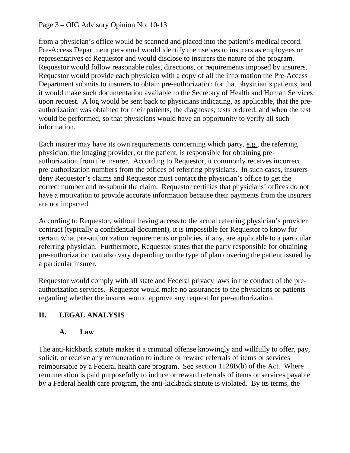### Page 3 – OIG Advisory Opinion No. 10-13

representatives of Requestor and would disclose to insurers the nature of the program.<br>Requestor would follow reasonable rules, directions, or requirements imposed by insurers. upon request. A log would be sent back to physicians indicating, as applicable, that the prefrom a physician's office would be scanned and placed into the patient's medical record. Pre-Access Department personnel would identify themselves to insurers as employees or Requestor would provide each physician with a copy of all the information the Pre-Access Department submits to insurers to obtain pre-authorization for that physician's patients, and it would make such documentation available to the Secretary of Health and Human Services authorization was obtained for their patients, the diagnoses, tests ordered, and when the test would be performed, so that physicians would have an opportunity to verify all such information.

 authorization from the insurer. According to Requestor, it commonly receives incorrect Each insurer may have its own requirements concerning which party, e.g., the referring physician, the imaging provider, or the patient, is responsible for obtaining prepre-authorization numbers from the offices of referring physicians. In such cases, insurers deny Requestor's claims and Requestor must contact the physician's office to get the correct number and re-submit the claim. Requestor certifies that physicians' offices do not have a motivation to provide accurate information because their payments from the insurers are not impacted.

According to Requestor, without having access to the actual referring physician's provider contract (typically a confidential document), it is impossible for Requestor to know for certain what pre-authorization requirements or policies, if any, are applicable to a particular referring physician. Furthermore, Requestor states that the party responsible for obtaining pre-authorization can also vary depending on the type of plan covering the patient issued by a particular insurer.

Requestor would comply with all state and Federal privacy laws in the conduct of the preauthorization services. Requestor would make no assurances to the physicians or patients regarding whether the insurer would approve any request for pre-authorization.

## **II. LEGAL ANALYSIS**

#### **A. Law**

The anti-kickback statute makes it a criminal offense knowingly and willfully to offer, pay, solicit, or receive any remuneration to induce or reward referrals of items or services reimbursable by a Federal health care program. See section 1128B(b) of the Act. Where remuneration is paid purposefully to induce or reward referrals of items or services payable by a Federal health care program, the anti-kickback statute is violated. By its terms, the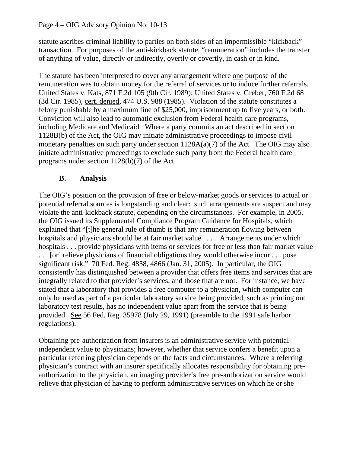statute ascribes criminal liability to parties on both sides of an impermissible "kickback" transaction. For purposes of the anti-kickback statute, "remuneration" includes the transfer of anything of value, directly or indirectly, overtly or covertly, in cash or in kind.

The statute has been interpreted to cover any arrangement where one purpose of the remuneration was to obtain money for the referral of services or to induce further referrals. United States v. Kats, 871 F.2d 105 (9th Cir. 1989); United States v. Greber, 760 F.2d 68 (3d Cir. 1985), cert. denied, 474 U.S. 988 (1985). Violation of the statute constitutes a felony punishable by a maximum fine of \$25,000, imprisonment up to five years, or both. Conviction will also lead to automatic exclusion from Federal health care programs, including Medicare and Medicaid. Where a party commits an act described in section 1128B(b) of the Act, the OIG may initiate administrative proceedings to impose civil monetary penalties on such party under section  $1128A(a)(7)$  of the Act. The OIG may also initiate administrative proceedings to exclude such party from the Federal health care programs under section 1128(b)(7) of the Act.

### **B. Analysis**

The OIG's position on the provision of free or below-market goods or services to actual or potential referral sources is longstanding and clear: such arrangements are suspect and may violate the anti-kickback statute, depending on the circumstances. For example, in 2005, the OIG issued its Supplemental Compliance Program Guidance for Hospitals, which explained that "[t]he general rule of thumb is that any remuneration flowing between hospitals and physicians should be at fair market value .... Arrangements under which hospitals . . . provide physicians with items or services for free or less than fair market value . . . [or] relieve physicians of financial obligations they would otherwise incur . . . pose significant risk." 70 Fed. Reg. 4858, 4866 (Jan. 31, 2005). In particular, the OIG consistently has distinguished between a provider that offers free items and services that are integrally related to that provider's services, and those that are not. For instance, we have stated that a laboratory that provides a free computer to a physician, which computer can only be used as part of a particular laboratory service being provided, such as printing out laboratory test results, has no independent value apart from the service that is being provided. See 56 Fed. Reg. 35978 (July 29, 1991) (preamble to the 1991 safe harbor regulations).

Obtaining pre-authorization from insurers is an administrative service with potential independent value to physicians; however, whether that service confers a benefit upon a particular referring physician depends on the facts and circumstances. Where a referring physician's contract with an insurer specifically allocates responsibility for obtaining preauthorization to the physician, an imaging provider's free pre-authorization service would relieve that physician of having to perform administrative services on which he or she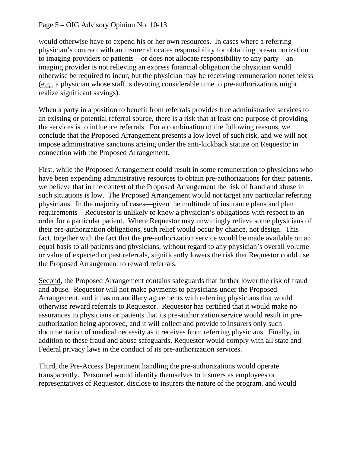#### Page 5 – OIG Advisory Opinion No. 10-13

would otherwise have to expend his or her own resources. In cases where a referring physician's contract with an insurer allocates responsibility for obtaining pre-authorization to imaging providers or patients—or does not allocate responsibility to any party—an imaging provider is not relieving an express financial obligation the physician would otherwise be required to incur, but the physician may be receiving remuneration nonetheless (e.g., a physician whose staff is devoting considerable time to pre-authorizations might realize significant savings).

When a party in a position to benefit from referrals provides free administrative services to an existing or potential referral source, there is a risk that at least one purpose of providing the services is to influence referrals. For a combination of the following reasons, we conclude that the Proposed Arrangement presents a low level of such risk, and we will not impose administrative sanctions arising under the anti-kickback statute on Requestor in connection with the Proposed Arrangement.

First, while the Proposed Arrangement could result in some remuneration to physicians who have been expending administrative resources to obtain pre-authorizations for their patients, we believe that in the context of the Proposed Arrangement the risk of fraud and abuse in such situations is low. The Proposed Arrangement would not target any particular referring physicians. In the majority of cases—given the multitude of insurance plans and plan requirements—Requestor is unlikely to know a physician's obligations with respect to an order for a particular patient. Where Requestor may unwittingly relieve some physicians of their pre-authorization obligations, such relief would occur by chance, not design. This fact, together with the fact that the pre-authorization service would be made available on an equal basis to all patients and physicians, without regard to any physician's overall volume or value of expected or past referrals, significantly lowers the risk that Requestor could use the Proposed Arrangement to reward referrals.

Second, the Proposed Arrangement contains safeguards that further lower the risk of fraud and abuse. Requestor will not make payments to physicians under the Proposed Arrangement, and it has no ancillary agreements with referring physicians that would otherwise reward referrals to Requestor. Requestor has certified that it would make no assurances to physicians or patients that its pre-authorization service would result in preauthorization being approved, and it will collect and provide to insurers only such documentation of medical necessity as it receives from referring physicians. Finally, in addition to these fraud and abuse safeguards, Requestor would comply with all state and Federal privacy laws in the conduct of its pre-authorization services.

Third, the Pre-Access Department handling the pre-authorizations would operate transparently. Personnel would identify themselves to insurers as employees or representatives of Requestor, disclose to insurers the nature of the program, and would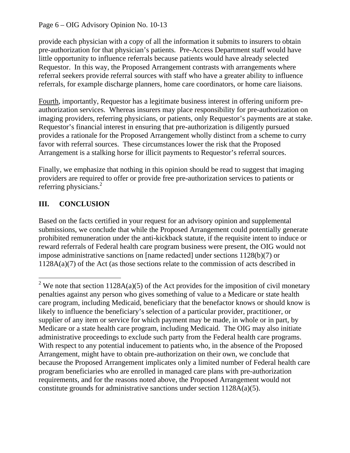### Page 6 – OIG Advisory Opinion No. 10-13

provide each physician with a copy of all the information it submits to insurers to obtain pre-authorization for that physician's patients. Pre-Access Department staff would have little opportunity to influence referrals because patients would have already selected Requestor. In this way, the Proposed Arrangement contrasts with arrangements where referral seekers provide referral sources with staff who have a greater ability to influence referrals, for example discharge planners, home care coordinators, or home care liaisons.

Fourth, importantly, Requestor has a legitimate business interest in offering uniform preauthorization services. Whereas insurers may place responsibility for pre-authorization on imaging providers, referring physicians, or patients, only Requestor's payments are at stake. Requestor's financial interest in ensuring that pre-authorization is diligently pursued provides a rationale for the Proposed Arrangement wholly distinct from a scheme to curry favor with referral sources. These circumstances lower the risk that the Proposed Arrangement is a stalking horse for illicit payments to Requestor's referral sources.

Finally, we emphasize that nothing in this opinion should be read to suggest that imaging providers are required to offer or provide free pre-authorization services to patients or referring physicians.<sup>2</sup>

## **III. CONCLUSION**

 $\overline{a}$ 

Based on the facts certified in your request for an advisory opinion and supplemental submissions, we conclude that while the Proposed Arrangement could potentially generate prohibited remuneration under the anti-kickback statute, if the requisite intent to induce or reward referrals of Federal health care program business were present, the OIG would not impose administrative sanctions on [name redacted] under sections 1128(b)(7) or 1128A(a)(7) of the Act (as those sections relate to the commission of acts described in

<sup>&</sup>lt;sup>2</sup> We note that section 1128A(a)(5) of the Act provides for the imposition of civil monetary penalties against any person who gives something of value to a Medicare or state health care program, including Medicaid, beneficiary that the benefactor knows or should know is likely to influence the beneficiary's selection of a particular provider, practitioner, or supplier of any item or service for which payment may be made, in whole or in part, by Medicare or a state health care program, including Medicaid. The OIG may also initiate administrative proceedings to exclude such party from the Federal health care programs. With respect to any potential inducement to patients who, in the absence of the Proposed Arrangement, might have to obtain pre-authorization on their own, we conclude that because the Proposed Arrangement implicates only a limited number of Federal health care program beneficiaries who are enrolled in managed care plans with pre-authorization requirements, and for the reasons noted above, the Proposed Arrangement would not constitute grounds for administrative sanctions under section  $1128A(a)(5)$ .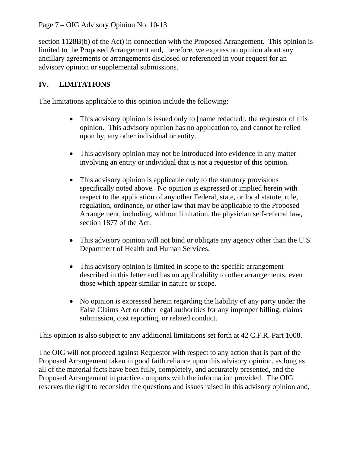Page 7 – OIG Advisory Opinion No. 10-13

section 1128B(b) of the Act) in connection with the Proposed Arrangement. This opinion is limited to the Proposed Arrangement and, therefore, we express no opinion about any ancillary agreements or arrangements disclosed or referenced in your request for an advisory opinion or supplemental submissions.

## **IV. LIMITATIONS**

The limitations applicable to this opinion include the following:

- This advisory opinion is issued only to [name redacted], the requestor of this opinion. This advisory opinion has no application to, and cannot be relied upon by, any other individual or entity.
- This advisory opinion may not be introduced into evidence in any matter involving an entity or individual that is not a requestor of this opinion.
- This advisory opinion is applicable only to the statutory provisions specifically noted above. No opinion is expressed or implied herein with respect to the application of any other Federal, state, or local statute, rule, regulation, ordinance, or other law that may be applicable to the Proposed Arrangement, including, without limitation, the physician self-referral law, section 1877 of the Act.
- This advisory opinion will not bind or obligate any agency other than the U.S. Department of Health and Human Services.
- This advisory opinion is limited in scope to the specific arrangement described in this letter and has no applicability to other arrangements, even those which appear similar in nature or scope.
- No opinion is expressed herein regarding the liability of any party under the False Claims Act or other legal authorities for any improper billing, claims submission, cost reporting, or related conduct.

This opinion is also subject to any additional limitations set forth at 42 C.F.R. Part 1008.

The OIG will not proceed against Requestor with respect to any action that is part of the Proposed Arrangement taken in good faith reliance upon this advisory opinion, as long as all of the material facts have been fully, completely, and accurately presented, and the Proposed Arrangement in practice comports with the information provided. The OIG reserves the right to reconsider the questions and issues raised in this advisory opinion and,